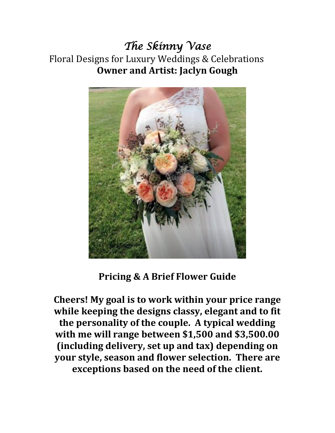*The Skinny Vase*  Floral Designs for Luxury Weddings & Celebrations **Owner and Artist: Jaclyn Gough**



**Pricing & A Brief Flower Guide** 

**Cheers! My goal is to work within your price range while keeping the designs classy, elegant and to fit the personality of the couple. A typical wedding with me will range between \$1,500 and \$3,500.00 (including delivery, set up and tax) depending on your style, season and flower selection. There are exceptions based on the need of the client.**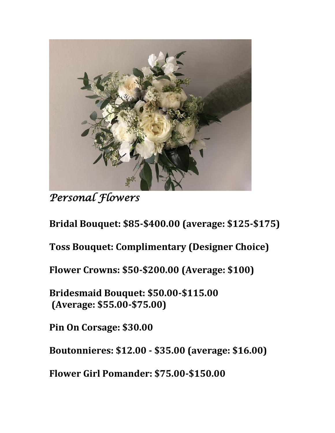

*Personal Flowers* 

**Bridal Bouquet: \$85-\$400.00 (average: \$125-\$175)**

**Toss Bouquet: Complimentary (Designer Choice)**

**Flower Crowns: \$50-\$200.00 (Average: \$100)**

**Bridesmaid Bouquet: \$50.00-\$115.00 (Average: \$55.00-\$75.00)**

**Pin On Corsage: \$30.00** 

**Boutonnieres: \$12.00 - \$35.00 (average: \$16.00)**

**Flower Girl Pomander: \$75.00-\$150.00**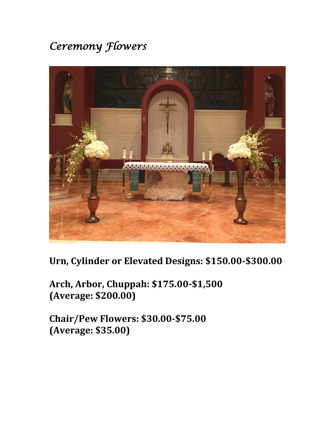## *Ceremony Flowers*



### **Urn, Cylinder or Elevated Designs: \$150.00-\$300.00**

**Arch, Arbor, Chuppah: \$175.00-\$1,500 (Average: \$200.00)**

**Chair/Pew Flowers: \$30.00-\$75.00 (Average: \$35.00)**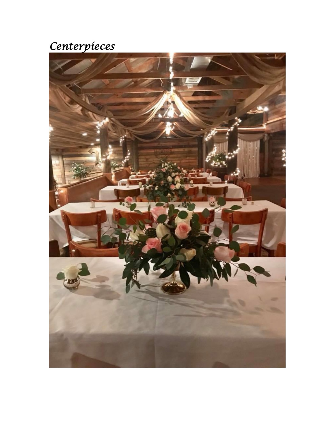# *Centerpieces*

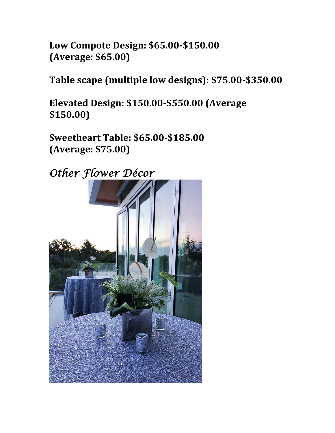**Low Compote Design: \$65.00-\$150.00 (Average: \$65.00)**

**Table scape (multiple low designs): \$75.00-\$350.00** 

**Elevated Design: \$150.00-\$550.00 (Average \$150.00)**

**Sweetheart Table: \$65.00-\$185.00 (Average: \$75.00)**

*Other Flower Décor*